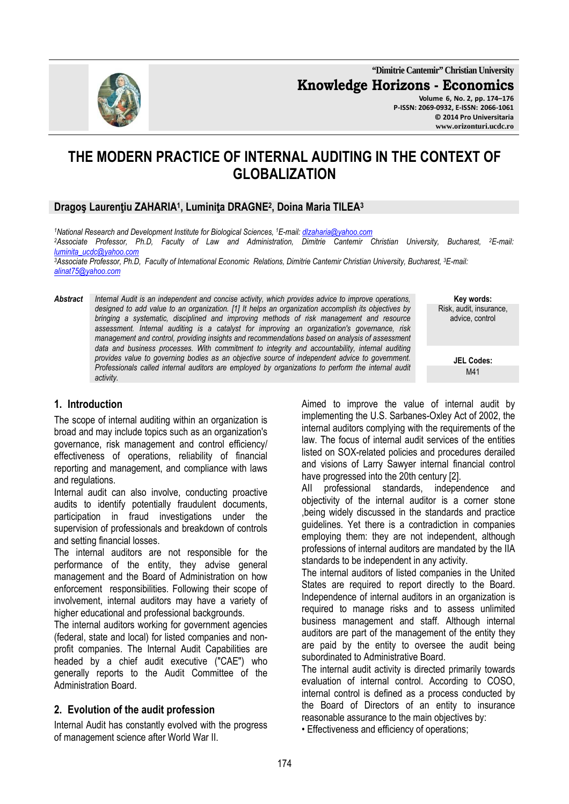**"Dimitrie Cantemir" Christian University Knowledge Horizons - Economics Volume 6, No. 2, pp. 174–176 P-ISSN: 2069-0932, E-ISSN: 2066-1061 © 2014 Pro Universitaria** 

# **THE MODERN PRACTICE OF INTERNAL AUDITING IN THE CONTEXT OF GLOBALIZATION**

#### **Dragoş Laurenţiu ZAHARIA<sup>1</sup> , Luminiţa DRAGNE<sup>2</sup> , Doina Maria TILEA<sup>3</sup>**

*<sup>1</sup>National Research and Development Institute for Biological Sciences, <sup>1</sup>E-mail: dlzaharia@yahoo.com* <sup>2</sup>*Associate Professor, Ph.D, Faculty of Law and Administration, Dimitrie Cantemir Christian University, Bucharest, <sup>2</sup><i>E-mail: luminita\_ucdc@yahoo.com* 

*<sup>3</sup>Associate Professor, Ph.D, Faculty of International Economic Relations, Dimitrie Cantemir Christian University, Bucharest, <sup>3</sup>E-mail: alinat75@yahoo.com* 

*Abstract Internal Audit is an independent and concise activity, which provides advice to improve operations, designed to add value to an organization. [1] It helps an organization accomplish its objectives by bringing a systematic, disciplined and improving methods of risk management and resource assessment. Internal auditing is a catalyst for improving an organization's governance, risk management and control, providing insights and recommendations based on analysis of assessment*  data and business processes. With commitment to integrity and accountability, internal auditing *provides value to governing bodies as an objective source of independent advice to government. Professionals called internal auditors are employed by organizations to perform the internal audit activity.* 

# **Key words:** Risk, audit, insurance, advice, control

**JEL Codes:** M41

#### **1. Introduction**

The scope of internal auditing within an organization is broad and may include topics such as an organization's governance, risk management and control efficiency/ effectiveness of operations, reliability of financial reporting and management, and compliance with laws and regulations.

Internal audit can also involve, conducting proactive audits to identify potentially fraudulent documents, participation in fraud investigations under the supervision of professionals and breakdown of controls and setting financial losses.

The internal auditors are not responsible for the performance of the entity, they advise general management and the Board of Administration on how enforcement responsibilities. Following their scope of involvement, internal auditors may have a variety of higher educational and professional backgrounds.

The internal auditors working for government agencies (federal, state and local) for listed companies and nonprofit companies. The Internal Audit Capabilities are headed by a chief audit executive ("CAE") who generally reports to the Audit Committee of the Administration Board.

## **2. Evolution of the audit profession**

Internal Audit has constantly evolved with the progress of management science after World War II.

Aimed to improve the value of internal audit by implementing the U.S. Sarbanes-Oxley Act of 2002, the internal auditors complying with the requirements of the law. The focus of internal audit services of the entities listed on SOX-related policies and procedures derailed and visions of Larry Sawyer internal financial control have progressed into the 20th century [2].

AII professional standards, independence and objectivity of the internal auditor is a corner stone ,being widely discussed in the standards and practice guidelines. Yet there is a contradiction in companies employing them: they are not independent, although professions of internal auditors are mandated by the IIA standards to be independent in any activity.

The internal auditors of listed companies in the United States are required to report directly to the Board. Independence of internal auditors in an organization is required to manage risks and to assess unlimited business management and staff. Although internal auditors are part of the management of the entity they are paid by the entity to oversee the audit being subordinated to Administrative Board.

The internal audit activity is directed primarily towards evaluation of internal control. According to COSO, internal control is defined as a process conducted by the Board of Directors of an entity to insurance reasonable assurance to the main objectives by:

• Effectiveness and efficiency of operations;

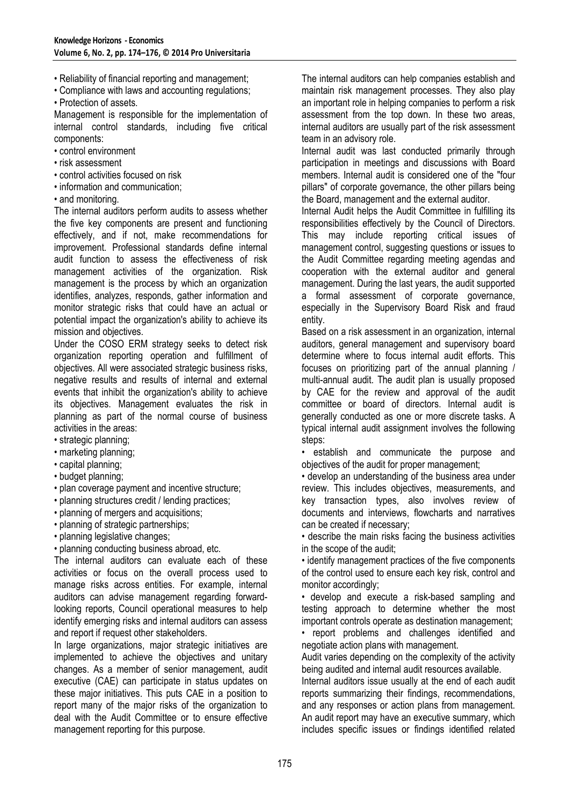- Reliability of financial reporting and management;
- Compliance with laws and accounting regulations;
- Protection of assets.

Management is responsible for the implementation of internal control standards, including five critical components:

- control environment
- risk assessment
- control activities focused on risk
- information and communication;
- and monitoring.

The internal auditors perform audits to assess whether the five key components are present and functioning effectively, and if not, make recommendations for improvement. Professional standards define internal audit function to assess the effectiveness of risk management activities of the organization. Risk management is the process by which an organization identifies, analyzes, responds, gather information and monitor strategic risks that could have an actual or potential impact the organization's ability to achieve its mission and objectives.

Under the COSO ERM strategy seeks to detect risk organization reporting operation and fulfillment of objectives. All were associated strategic business risks, negative results and results of internal and external events that inhibit the organization's ability to achieve its objectives. Management evaluates the risk in planning as part of the normal course of business activities in the areas:

- strategic planning;
- marketing planning;
- capital planning;
- budget planning;
- plan coverage payment and incentive structure;
- planning structures credit / lending practices;
- planning of mergers and acquisitions;
- planning of strategic partnerships;
- planning legislative changes;
- planning conducting business abroad, etc.

The internal auditors can evaluate each of these activities or focus on the overall process used to manage risks across entities. For example, internal auditors can advise management regarding forwardlooking reports, Council operational measures to help identify emerging risks and internal auditors can assess and report if request other stakeholders.

In large organizations, major strategic initiatives are implemented to achieve the objectives and unitary changes. As a member of senior management, audit executive (CAE) can participate in status updates on these major initiatives. This puts CAE in a position to report many of the major risks of the organization to deal with the Audit Committee or to ensure effective management reporting for this purpose.

The internal auditors can help companies establish and maintain risk management processes. They also play an important role in helping companies to perform a risk assessment from the top down. In these two areas, internal auditors are usually part of the risk assessment team in an advisory role.

Internal audit was last conducted primarily through participation in meetings and discussions with Board members. Internal audit is considered one of the "four pillars" of corporate governance, the other pillars being the Board, management and the external auditor.

Internal Audit helps the Audit Committee in fulfilling its responsibilities effectively by the Council of Directors. This may include reporting critical issues of management control, suggesting questions or issues to the Audit Committee regarding meeting agendas and cooperation with the external auditor and general management. During the last years, the audit supported a formal assessment of corporate governance, especially in the Supervisory Board Risk and fraud entity.

Based on a risk assessment in an organization, internal auditors, general management and supervisory board determine where to focus internal audit efforts. This focuses on prioritizing part of the annual planning / multi-annual audit. The audit plan is usually proposed by CAE for the review and approval of the audit committee or board of directors. Internal audit is generally conducted as one or more discrete tasks. A typical internal audit assignment involves the following steps:

• establish and communicate the purpose and objectives of the audit for proper management;

• develop an understanding of the business area under review. This includes objectives, measurements, and key transaction types, also involves review of documents and interviews, flowcharts and narratives can be created if necessary;

• describe the main risks facing the business activities in the scope of the audit;

• identify management practices of the five components of the control used to ensure each key risk, control and monitor accordingly;

• develop and execute a risk-based sampling and testing approach to determine whether the most important controls operate as destination management;

• report problems and challenges identified and negotiate action plans with management.

Audit varies depending on the complexity of the activity being audited and internal audit resources available.

Internal auditors issue usually at the end of each audit reports summarizing their findings, recommendations, and any responses or action plans from management. An audit report may have an executive summary, which includes specific issues or findings identified related